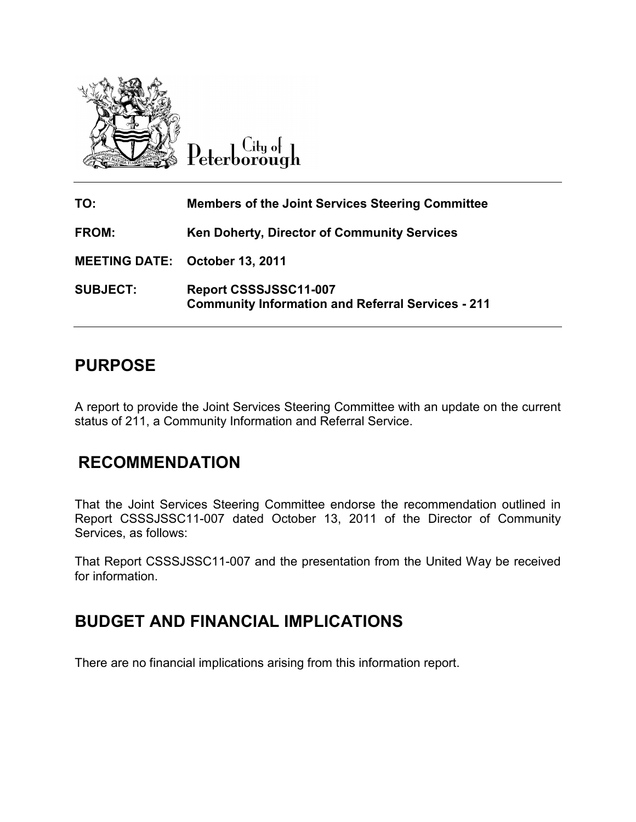

Peterborough

| TO:                                   | <b>Members of the Joint Services Steering Committee</b>                           |
|---------------------------------------|-----------------------------------------------------------------------------------|
| <b>FROM:</b>                          | Ken Doherty, Director of Community Services                                       |
| <b>MEETING DATE: October 13, 2011</b> |                                                                                   |
| <b>SUBJECT:</b>                       | Report CSSSJSSC11-007<br><b>Community Information and Referral Services - 211</b> |

## **PURPOSE**

A report to provide the Joint Services Steering Committee with an update on the current status of 211, a Community Information and Referral Service.

## **RECOMMENDATION**

That the Joint Services Steering Committee endorse the recommendation outlined in Report CSSSJSSC11-007 dated October 13, 2011 of the Director of Community Services, as follows:

That Report CSSSJSSC11-007 and the presentation from the United Way be received for information.

## **BUDGET AND FINANCIAL IMPLICATIONS**

There are no financial implications arising from this information report.